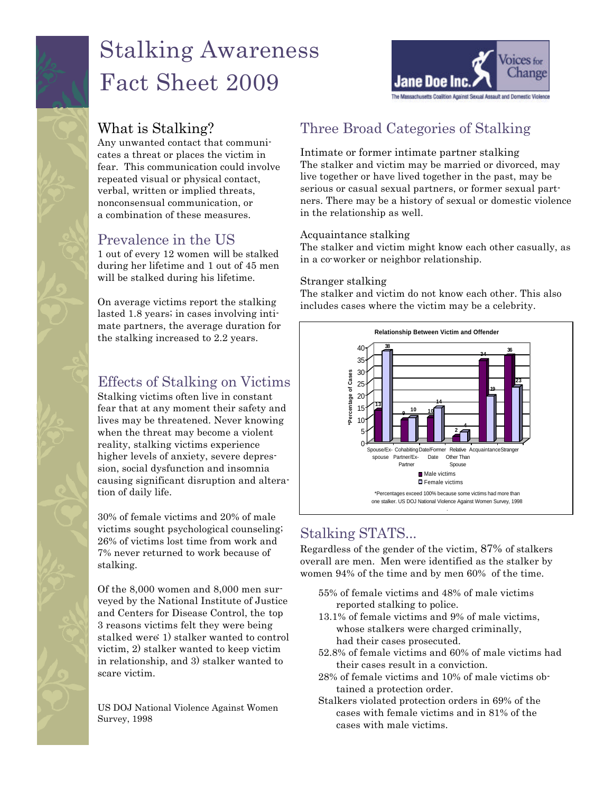# Stalking Awareness Fact Sheet 2009



### What is Stalking?

Any unwanted contact that communicates a threat or places the victim in fear. This communication could involve repeated visual or physical contact, verbal, written or implied threats, nonconsensual communication, or a combination of these measures.

## Prevalence in the US

1 out of every 12 women will be stalked during her lifetime and 1 out of 45 men will be stalked during his lifetime.

On average victims report the stalking lasted 1.8 years; in cases involving intimate partners, the average duration for the stalking increased to 2.2 years.

## Effects of Stalking on Victims

Stalking victims often live in constant fear that at any moment their safety and lives may be threatened. Never knowing when the threat may become a violent reality, stalking victims experience higher levels of anxiety, severe depression, social dysfunction and insomnia causing significant disruption and alteration of daily life.

30% of female victims and 20% of male victims sought psychological counseling; 26% of victims lost time from work and 7% never returned to work because of stalking.

Of the 8,000 women and 8,000 men surveyed by the National Institute of Justice and Centers for Disease Control, the top 3 reasons victims felt they were being stalked were: 1) stalker wanted to control victim, 2) stalker wanted to keep victim in relationship, and 3) stalker wanted to scare victim.

US DOJ National Violence Against Women Survey, 1998

## Three Broad Categories of Stalking

Intimate or former intimate partner stalking The stalker and victim may be married or divorced, may live together or have lived together in the past, may be serious or casual sexual partners, or former sexual partners. There may be a history of sexual or domestic violence in the relationship as well.

#### Acquaintance stalking

The stalker and victim might know each other casually, as in a co-worker or neighbor relationship.

#### Stranger stalking

The stalker and victim do not know each other. This also includes cases where the victim may be a celebrity.



### Stalking STATS...

Regardless of the gender of the victim, 87% of stalkers overall are men. Men were identified as the stalker by women 94% of the time and by men 60% of the time.

- 55% of female victims and 48% of male victims reported stalking to police.
- 13.1% of female victims and 9% of male victims, whose stalkers were charged criminally, had their cases prosecuted.
- 52.8% of female victims and 60% of male victims had their cases result in a conviction.
- 28% of female victims and 10% of male victims obtained a protection order.
- Stalkers violated protection orders in 69% of the cases with female victims and in 81% of the cases with male victims.